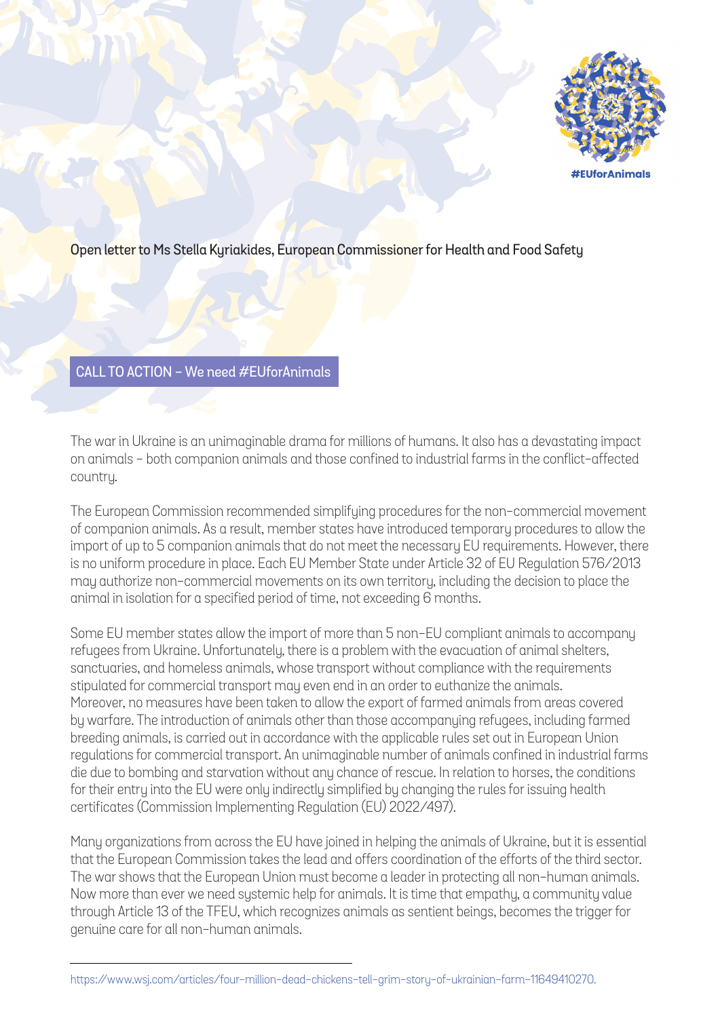

## Open letter to Ms Stella Kyriakides, European Commissioner for Health and Food Safety

## CALL TO ACTION - We need #EUforAnimals

The war in Ukraine is an unimaginable drama for millions of humans. It also has a devastating impact on animals - both companion animals and those confined to industrial farms in the conflict-affected country.

The European Commission recommended simplifying procedures for the non-commercial movement of companion animals. As a result, member states have introduced temporary procedures to allow the import of up to 5 companion animals that do not meet the necessary EU requirements. However, there is no uniform procedure in place. Each EU Member State under Article 32 of EU Regulation 576/2013 may authorize non-commercial movements on its own territory, including the decision to place the animal in isolation for a specified period of time, not exceeding 6 months.

Some EU member states allow the import of more than 5 non-EU compliant animals to accompany refugees from Ukraine. Unfortunately, there is a problem with the evacuation of animal shelters, sanctuaries, and homeless animals, whose transport without compliance with the requirements stipulated for commercial transport may even end in an order to euthanize the animals. Moreover, no measures have been taken to allow the export of farmed animals from areas covered by warfare. The introduction of animals other than those accompanying refugees, including farmed breeding animals, is carried out in accordance with the applicable rules set out in European Union regulations for commercial transport. An unimaginable number of animals confined in industrial farms die due to bombing and starvation without any chance of rescue. In relation to horses, the conditions for their entry into the EU were only indirectly simplified by changing the rules for issuing health certificates (Commission Implementing Regulation (EU) 2022/497).

Many organizations from across the EU have joined in helping the animals of Ukraine, but it is essential that the European Commission takes the lead and offers coordination of the efforts of the third sector. The war shows that the European Union must become a leader in protecting all non-human animals. Now more than ever we need systemic help for animals. It is time that empathy, a community value through Article 13 of the TFEU, which recognizes animals as sentient beings, becomes the trigger for genuine care for all non-human animals.

https://www.wsj.com/articles/four-million-dead-chickens-tell-grim-story-of-ukrainian-farm-11649410270.